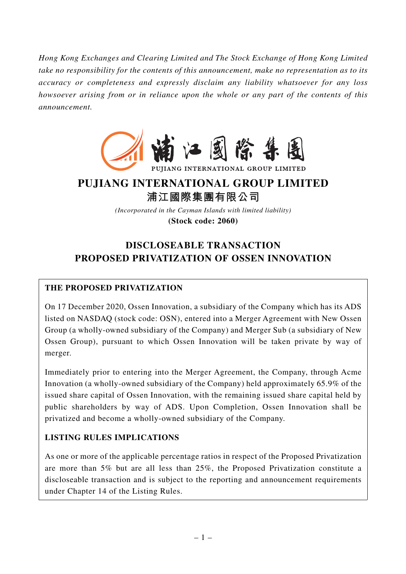*Hong Kong Exchanges and Clearing Limited and The Stock Exchange of Hong Kong Limited take no responsibility for the contents of this announcement, make no representation as to its accuracy or completeness and expressly disclaim any liability whatsoever for any loss howsoever arising from or in reliance upon the whole or any part of the contents of this announcement.*



PUJIANG INTERNATIONAL GROUP LIMITED

# **PUJIANG INTERNATIONAL GROUP LIMITED**

**浦江國際集團有限公司**

*(Incorporated in the Cayman Islands with limited liability)* **(Stock code: 2060)**

# **DISCLOSEABLE TRANSACTION PROPOSED PRIVATIZATION OF OSSEN INNOVATION**

# **THE PROPOSED PRIVATIZATION**

On 17 December 2020, Ossen Innovation, a subsidiary of the Company which has its ADS listed on NASDAQ (stock code: OSN), entered into a Merger Agreement with New Ossen Group (a wholly-owned subsidiary of the Company) and Merger Sub (a subsidiary of New Ossen Group), pursuant to which Ossen Innovation will be taken private by way of merger.

Immediately prior to entering into the Merger Agreement, the Company, through Acme Innovation (a wholly-owned subsidiary of the Company) held approximately 65.9% of the issued share capital of Ossen Innovation, with the remaining issued share capital held by public shareholders by way of ADS. Upon Completion, Ossen Innovation shall be privatized and become a wholly-owned subsidiary of the Company.

# **LISTING RULES IMPLICATIONS**

As one or more of the applicable percentage ratios in respect of the Proposed Privatization are more than 5% but are all less than 25%, the Proposed Privatization constitute a discloseable transaction and is subject to the reporting and announcement requirements under Chapter 14 of the Listing Rules.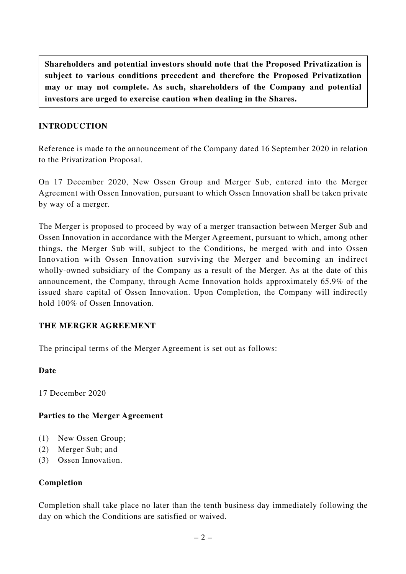**Shareholders and potential investors should note that the Proposed Privatization is subject to various conditions precedent and therefore the Proposed Privatization may or may not complete. As such, shareholders of the Company and potential investors are urged to exercise caution when dealing in the Shares.**

# **INTRODUCTION**

Reference is made to the announcement of the Company dated 16 September 2020 in relation to the Privatization Proposal.

On 17 December 2020, New Ossen Group and Merger Sub, entered into the Merger Agreement with Ossen Innovation, pursuant to which Ossen Innovation shall be taken private by way of a merger.

The Merger is proposed to proceed by way of a merger transaction between Merger Sub and Ossen Innovation in accordance with the Merger Agreement, pursuant to which, among other things, the Merger Sub will, subject to the Conditions, be merged with and into Ossen Innovation with Ossen Innovation surviving the Merger and becoming an indirect wholly-owned subsidiary of the Company as a result of the Merger. As at the date of this announcement, the Company, through Acme Innovation holds approximately 65.9% of the issued share capital of Ossen Innovation. Upon Completion, the Company will indirectly hold 100% of Ossen Innovation.

## **THE MERGER AGREEMENT**

The principal terms of the Merger Agreement is set out as follows:

## **Date**

17 December 2020

## **Parties to the Merger Agreement**

- (1) New Ossen Group;
- (2) Merger Sub; and
- (3) Ossen Innovation.

## **Completion**

Completion shall take place no later than the tenth business day immediately following the day on which the Conditions are satisfied or waived.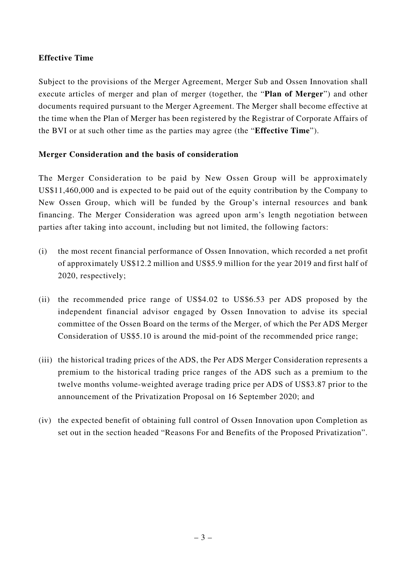# **Effective Time**

Subject to the provisions of the Merger Agreement, Merger Sub and Ossen Innovation shall execute articles of merger and plan of merger (together, the "**Plan of Merger**") and other documents required pursuant to the Merger Agreement. The Merger shall become effective at the time when the Plan of Merger has been registered by the Registrar of Corporate Affairs of the BVI or at such other time as the parties may agree (the "**Effective Time**").

## **Merger Consideration and the basis of consideration**

The Merger Consideration to be paid by New Ossen Group will be approximately US\$11,460,000 and is expected to be paid out of the equity contribution by the Company to New Ossen Group, which will be funded by the Group's internal resources and bank financing. The Merger Consideration was agreed upon arm's length negotiation between parties after taking into account, including but not limited, the following factors:

- (i) the most recent financial performance of Ossen Innovation, which recorded a net profit of approximately US\$12.2 million and US\$5.9 million for the year 2019 and first half of 2020, respectively;
- (ii) the recommended price range of US\$4.02 to US\$6.53 per ADS proposed by the independent financial advisor engaged by Ossen Innovation to advise its special committee of the Ossen Board on the terms of the Merger, of which the Per ADS Merger Consideration of US\$5.10 is around the mid-point of the recommended price range;
- (iii) the historical trading prices of the ADS, the Per ADS Merger Consideration represents a premium to the historical trading price ranges of the ADS such as a premium to the twelve months volume-weighted average trading price per ADS of US\$3.87 prior to the announcement of the Privatization Proposal on 16 September 2020; and
- (iv) the expected benefit of obtaining full control of Ossen Innovation upon Completion as set out in the section headed "Reasons For and Benefits of the Proposed Privatization".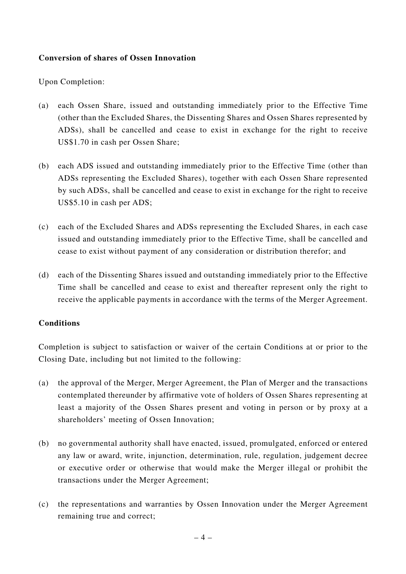## **Conversion of shares of Ossen Innovation**

Upon Completion:

- (a) each Ossen Share, issued and outstanding immediately prior to the Effective Time (other than the Excluded Shares, the Dissenting Shares and Ossen Shares represented by ADSs), shall be cancelled and cease to exist in exchange for the right to receive US\$1.70 in cash per Ossen Share;
- (b) each ADS issued and outstanding immediately prior to the Effective Time (other than ADSs representing the Excluded Shares), together with each Ossen Share represented by such ADSs, shall be cancelled and cease to exist in exchange for the right to receive US\$5.10 in cash per ADS;
- (c) each of the Excluded Shares and ADSs representing the Excluded Shares, in each case issued and outstanding immediately prior to the Effective Time, shall be cancelled and cease to exist without payment of any consideration or distribution therefor; and
- (d) each of the Dissenting Shares issued and outstanding immediately prior to the Effective Time shall be cancelled and cease to exist and thereafter represent only the right to receive the applicable payments in accordance with the terms of the Merger Agreement.

#### **Conditions**

Completion is subject to satisfaction or waiver of the certain Conditions at or prior to the Closing Date, including but not limited to the following:

- (a) the approval of the Merger, Merger Agreement, the Plan of Merger and the transactions contemplated thereunder by affirmative vote of holders of Ossen Shares representing at least a majority of the Ossen Shares present and voting in person or by proxy at a shareholders' meeting of Ossen Innovation;
- (b) no governmental authority shall have enacted, issued, promulgated, enforced or entered any law or award, write, injunction, determination, rule, regulation, judgement decree or executive order or otherwise that would make the Merger illegal or prohibit the transactions under the Merger Agreement;
- (c) the representations and warranties by Ossen Innovation under the Merger Agreement remaining true and correct;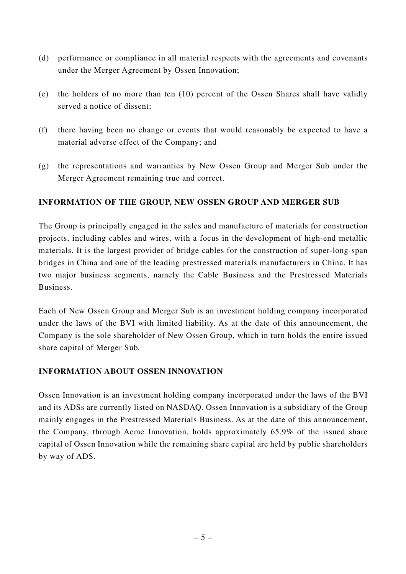- (d) performance or compliance in all material respects with the agreements and covenants under the Merger Agreement by Ossen Innovation;
- (e) the holders of no more than ten (10) percent of the Ossen Shares shall have validly served a notice of dissent;
- (f) there having been no change or events that would reasonably be expected to have a material adverse effect of the Company; and
- (g) the representations and warranties by New Ossen Group and Merger Sub under the Merger Agreement remaining true and correct.

# **INFORMATION OF THE GROUP, NEW OSSEN GROUP AND MERGER SUB**

The Group is principally engaged in the sales and manufacture of materials for construction projects, including cables and wires, with a focus in the development of high-end metallic materials. It is the largest provider of bridge cables for the construction of super-long-span bridges in China and one of the leading prestressed materials manufacturers in China. It has two major business segments, namely the Cable Business and the Prestressed Materials Business.

Each of New Ossen Group and Merger Sub is an investment holding company incorporated under the laws of the BVI with limited liability. As at the date of this announcement, the Company is the sole shareholder of New Ossen Group, which in turn holds the entire issued share capital of Merger Sub.

## **INFORMATION ABOUT OSSEN INNOVATION**

Ossen Innovation is an investment holding company incorporated under the laws of the BVI and its ADSs are currently listed on NASDAQ. Ossen Innovation is a subsidiary of the Group mainly engages in the Prestressed Materials Business. As at the date of this announcement, the Company, through Acme Innovation, holds approximately 65.9% of the issued share capital of Ossen Innovation while the remaining share capital are held by public shareholders by way of ADS.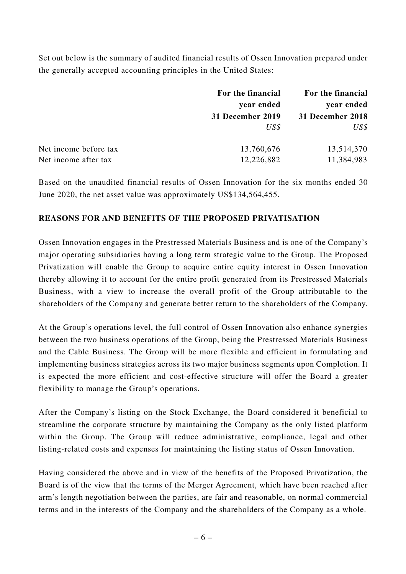Set out below is the summary of audited financial results of Ossen Innovation prepared under the generally accepted accounting principles in the United States:

|                       | For the financial<br>year ended | For the financial<br>year ended |
|-----------------------|---------------------------------|---------------------------------|
|                       |                                 |                                 |
|                       | 31 December 2019                | 31 December 2018                |
|                       | $US\$                           | $US\$                           |
| Net income before tax | 13,760,676                      | 13,514,370                      |
| Net income after tax  | 12,226,882                      | 11,384,983                      |

Based on the unaudited financial results of Ossen Innovation for the six months ended 30 June 2020, the net asset value was approximately US\$134,564,455.

# **REASONS FOR AND BENEFITS OF THE PROPOSED PRIVATISATION**

Ossen Innovation engages in the Prestressed Materials Business and is one of the Company's major operating subsidiaries having a long term strategic value to the Group. The Proposed Privatization will enable the Group to acquire entire equity interest in Ossen Innovation thereby allowing it to account for the entire profit generated from its Prestressed Materials Business, with a view to increase the overall profit of the Group attributable to the shareholders of the Company and generate better return to the shareholders of the Company.

At the Group's operations level, the full control of Ossen Innovation also enhance synergies between the two business operations of the Group, being the Prestressed Materials Business and the Cable Business. The Group will be more flexible and efficient in formulating and implementing business strategies across its two major business segments upon Completion. It is expected the more efficient and cost-effective structure will offer the Board a greater flexibility to manage the Group's operations.

After the Company's listing on the Stock Exchange, the Board considered it beneficial to streamline the corporate structure by maintaining the Company as the only listed platform within the Group. The Group will reduce administrative, compliance, legal and other listing-related costs and expenses for maintaining the listing status of Ossen Innovation.

Having considered the above and in view of the benefits of the Proposed Privatization, the Board is of the view that the terms of the Merger Agreement, which have been reached after arm's length negotiation between the parties, are fair and reasonable, on normal commercial terms and in the interests of the Company and the shareholders of the Company as a whole.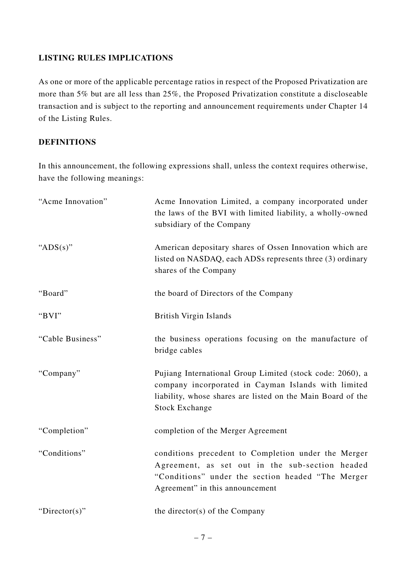# **LISTING RULES IMPLICATIONS**

As one or more of the applicable percentage ratios in respect of the Proposed Privatization are more than 5% but are all less than 25%, the Proposed Privatization constitute a discloseable transaction and is subject to the reporting and announcement requirements under Chapter 14 of the Listing Rules.

#### **DEFINITIONS**

In this announcement, the following expressions shall, unless the context requires otherwise, have the following meanings:

| "Acme Innovation" | Acme Innovation Limited, a company incorporated under<br>the laws of the BVI with limited liability, a wholly-owned<br>subsidiary of the Company                                                         |
|-------------------|----------------------------------------------------------------------------------------------------------------------------------------------------------------------------------------------------------|
| " $ADS(s)$ "      | American depositary shares of Ossen Innovation which are<br>listed on NASDAQ, each ADSs represents three (3) ordinary<br>shares of the Company                                                           |
| "Board"           | the board of Directors of the Company                                                                                                                                                                    |
| "BVI"             | <b>British Virgin Islands</b>                                                                                                                                                                            |
| "Cable Business"  | the business operations focusing on the manufacture of<br>bridge cables                                                                                                                                  |
| "Company"         | Pujiang International Group Limited (stock code: 2060), a<br>company incorporated in Cayman Islands with limited<br>liability, whose shares are listed on the Main Board of the<br><b>Stock Exchange</b> |
| "Completion"      | completion of the Merger Agreement                                                                                                                                                                       |
| "Conditions"      | conditions precedent to Completion under the Merger<br>Agreement, as set out in the sub-section headed<br>"Conditions" under the section headed "The Merger<br>Agreement" in this announcement           |
| "Director(s)"     | the director( $s$ ) of the Company                                                                                                                                                                       |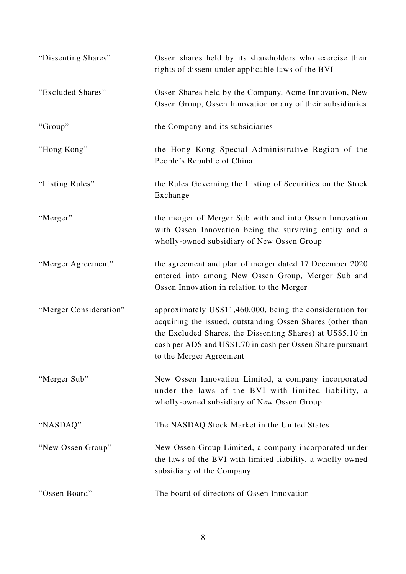| "Dissenting Shares"    | Ossen shares held by its shareholders who exercise their<br>rights of dissent under applicable laws of the BVI                                                                                                                                                                 |
|------------------------|--------------------------------------------------------------------------------------------------------------------------------------------------------------------------------------------------------------------------------------------------------------------------------|
| "Excluded Shares"      | Ossen Shares held by the Company, Acme Innovation, New<br>Ossen Group, Ossen Innovation or any of their subsidiaries                                                                                                                                                           |
| "Group"                | the Company and its subsidiaries                                                                                                                                                                                                                                               |
| "Hong Kong"            | the Hong Kong Special Administrative Region of the<br>People's Republic of China                                                                                                                                                                                               |
| "Listing Rules"        | the Rules Governing the Listing of Securities on the Stock<br>Exchange                                                                                                                                                                                                         |
| "Merger"               | the merger of Merger Sub with and into Ossen Innovation<br>with Ossen Innovation being the surviving entity and a<br>wholly-owned subsidiary of New Ossen Group                                                                                                                |
| "Merger Agreement"     | the agreement and plan of merger dated 17 December 2020<br>entered into among New Ossen Group, Merger Sub and<br>Ossen Innovation in relation to the Merger                                                                                                                    |
| "Merger Consideration" | approximately US\$11,460,000, being the consideration for<br>acquiring the issued, outstanding Ossen Shares (other than<br>the Excluded Shares, the Dissenting Shares) at US\$5.10 in<br>cash per ADS and US\$1.70 in cash per Ossen Share pursuant<br>to the Merger Agreement |
| "Merger Sub"           | New Ossen Innovation Limited, a company incorporated<br>under the laws of the BVI with limited liability, a<br>wholly-owned subsidiary of New Ossen Group                                                                                                                      |
| "NASDAQ"               | The NASDAQ Stock Market in the United States                                                                                                                                                                                                                                   |
| "New Ossen Group"      | New Ossen Group Limited, a company incorporated under<br>the laws of the BVI with limited liability, a wholly-owned<br>subsidiary of the Company                                                                                                                               |
| "Ossen Board"          | The board of directors of Ossen Innovation                                                                                                                                                                                                                                     |